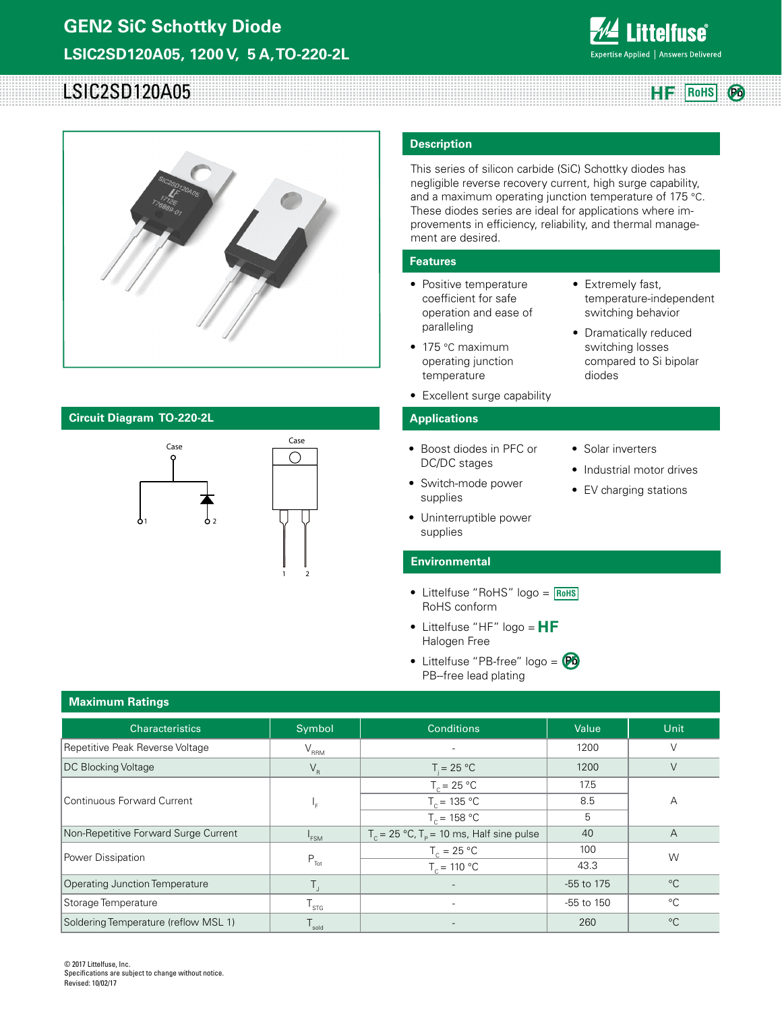

**RoHS**

# LSIC2SD120A05 **Pb**



## **Circuit Diagram TO-220-2L**



### **Description**

This series of silicon carbide (SiC) Schottky diodes has negligible reverse recovery current, high surge capability, and a maximum operating junction temperature of 175 °C. These diodes series are ideal for applications where improvements in efficiency, reliability, and thermal management are desired.

### **Features**

- Positive temperature coefficient for safe operation and ease of paralleling
- 175 °C maximum operating junction temperature
- Excellent surge capability

### **Applications**

- Boost diodes in PFC or DC/DC stages
- Switch-mode power supplies
- Uninterruptible power supplies

### **Environmental**

- Littelfuse "RoHS" logo = **RoHS** RoHS conform
- Littelfuse "HF" logo =  $HF$ Halogen Free
- Littelfuse "PB-free" logo = **Pb**PB--free lead plating

| $\bullet$ | Solar inverters |
|-----------|-----------------|
|           |                 |

diodes

• Extremely fast,

temperature-independent switching behavior • Dramatically reduced switching losses compared to Si bipolar

- Industrial motor drives
- EV charging stations

## **Maximum Ratings**

| --                                    |                             |                                                |            |             |  |
|---------------------------------------|-----------------------------|------------------------------------------------|------------|-------------|--|
| <b>Characteristics</b>                | Symbol                      | <b>Conditions</b>                              | Value      | Unit        |  |
| Repetitive Peak Reverse Voltage       | $V_{\rm RRM}$               | $\overline{\phantom{0}}$                       | 1200       |             |  |
| <b>DC Blocking Voltage</b>            | $V_R$                       | $T = 25 °C$                                    | 1200       | V           |  |
|                                       |                             | $T_c = 25 °C$                                  | 17.5       |             |  |
| <b>Continuous Forward Current</b>     | Կ⊧                          | $T_c = 135 °C$                                 | 8.5        | А           |  |
|                                       |                             | $T_c = 158 °C$                                 | 5          |             |  |
| Non-Repetitive Forward Surge Current  | <sup>1</sup> FSM            | $T_c = 25 °C$ , $T_p = 10$ ms, Half sine pulse | 40         | A           |  |
| Power Dissipation                     |                             | $T_c = 25 °C$                                  | 100        | W           |  |
|                                       | $P_{\text{Tot}}$            | $T_c = 110 °C$                                 | 43.3       |             |  |
| <b>Operating Junction Temperature</b> |                             | $\overline{\phantom{0}}$                       | -55 to 175 | $^{\circ}C$ |  |
| Storage Temperature                   | $\mathsf{I}_{\mathsf{STG}}$ | $\overline{\phantom{0}}$                       | -55 to 150 | $^{\circ}C$ |  |
| Soldering Temperature (reflow MSL 1)  | sold                        |                                                | 260        | $^{\circ}C$ |  |

© 2017 Littelfuse, Inc. Specifications are subject to change without notice. Revised: 10/02/17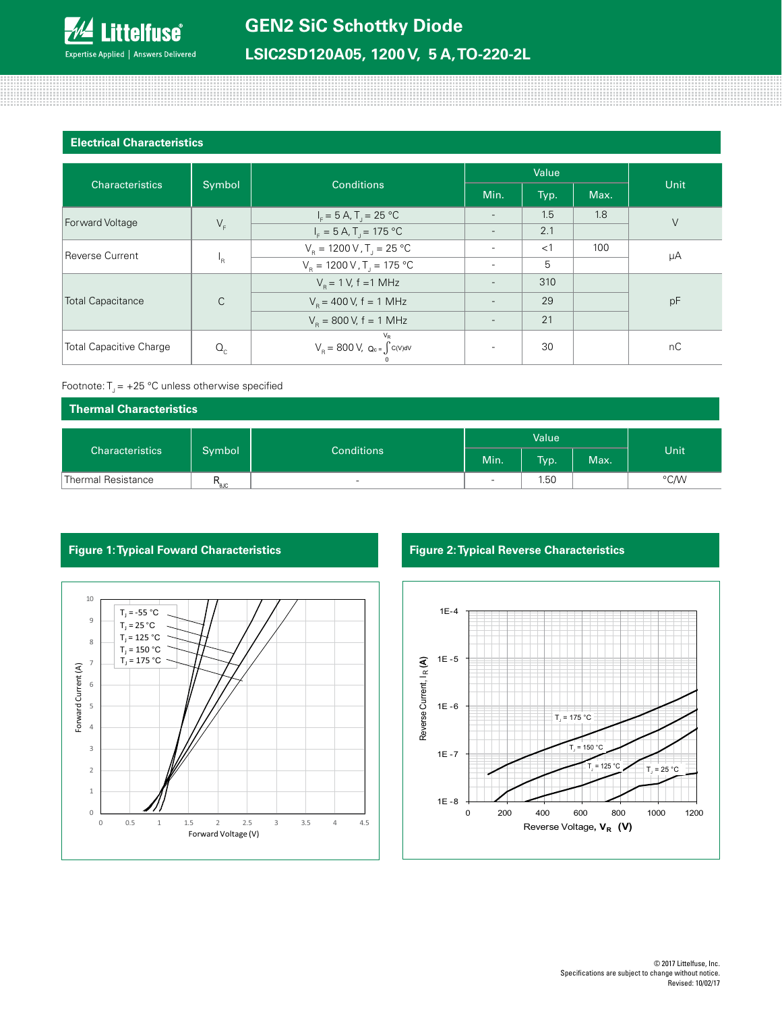

111111111111111

### **Electrical Characteristics**

| <b>Characteristics</b>         | Symbol       | <b>Conditions</b>                                                                                                                                                                       | Value                    |       |      |        |
|--------------------------------|--------------|-----------------------------------------------------------------------------------------------------------------------------------------------------------------------------------------|--------------------------|-------|------|--------|
|                                |              |                                                                                                                                                                                         | Min.                     | Typ.  | Max. | Unit   |
| <b>Forward Voltage</b>         | $V_F$        | $I_F = 5 A$ , T <sub>J</sub> = 25 °C                                                                                                                                                    | $\overline{\phantom{a}}$ | 1.5   | 1.8  | $\vee$ |
|                                |              | $I_{\rm F} = 5 \text{ A}$ , T <sub>1</sub> = 175 °C                                                                                                                                     |                          | 2.1   |      |        |
| <b>Reverse Current</b>         | 'R           | $V_{\rm B} = 1200 \, \text{V}$ , T <sub>1</sub> = 25 °C                                                                                                                                 |                          | $<$ 1 | 100  | μA     |
|                                |              | $V_R = 1200 \text{ V}$ , T <sub>1</sub> = 175 °C                                                                                                                                        | $\overline{\phantom{a}}$ | 5     |      |        |
| <b>Total Capacitance</b>       | $\mathsf{C}$ | $V_{\rm B} = 1$ V, f = 1 MHz                                                                                                                                                            |                          | 310   |      |        |
|                                |              | $V_{\rm B}$ = 400 V, f = 1 MHz                                                                                                                                                          |                          | 29    |      | pF     |
|                                |              | $V_{\rm B} = 800 \text{ V}, f = 1 \text{ MHz}$                                                                                                                                          |                          | 21    |      |        |
| <b>Total Capacitive Charge</b> | $Q_c$        | $V_R$<br>$\ensuremath{\mathsf{V}}_{_{\mathsf{R}}} =$ 800 V,<br>$\ensuremath{\mathsf{Q}}_{\text{c}}$ = $\int c(\ensuremath{\mathsf{V}}) \ensuremath{\mathsf{d}} \ensuremath{\mathsf{V}}$ |                          | 30    |      | nC     |

### Footnote:  $T_1 = +25$  °C unless otherwise specified

| Thermal Characteristics |                             |                          |       |      |      |      |
|-------------------------|-----------------------------|--------------------------|-------|------|------|------|
|                         |                             |                          | Value |      |      |      |
| <b>Characteristics</b>  | Symbol<br><b>Conditions</b> |                          | Min.  | Typ. | Max. | Unit |
| Thermal Resistance      | $R_{\text{euc}}$            | $\overline{\phantom{a}}$ | -     | 1.50 |      | °C/W |



# **Figure 1: Typical Foward Characteristics Figure 2: Typical Reverse Characteristics**

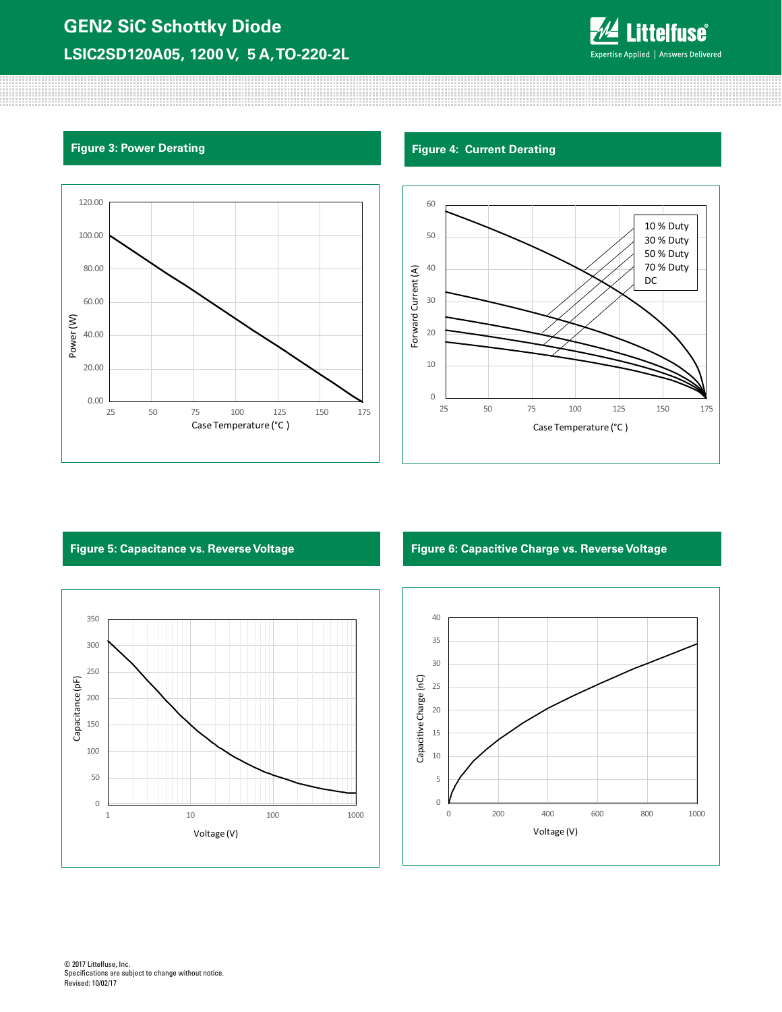# **GEN2 SiC Schottky Diode LSIC2SD120A05, 1200 V, 5 A, TO-220-2L**



888888888



# **Figure 3: Power Derating Figure 4: Current Derating Figure 4: Current Derating**





## **Figure 5: Capacitance vs. Reverse Voltage Figure 6: Capacitive Charge vs. Reverse Voltage**

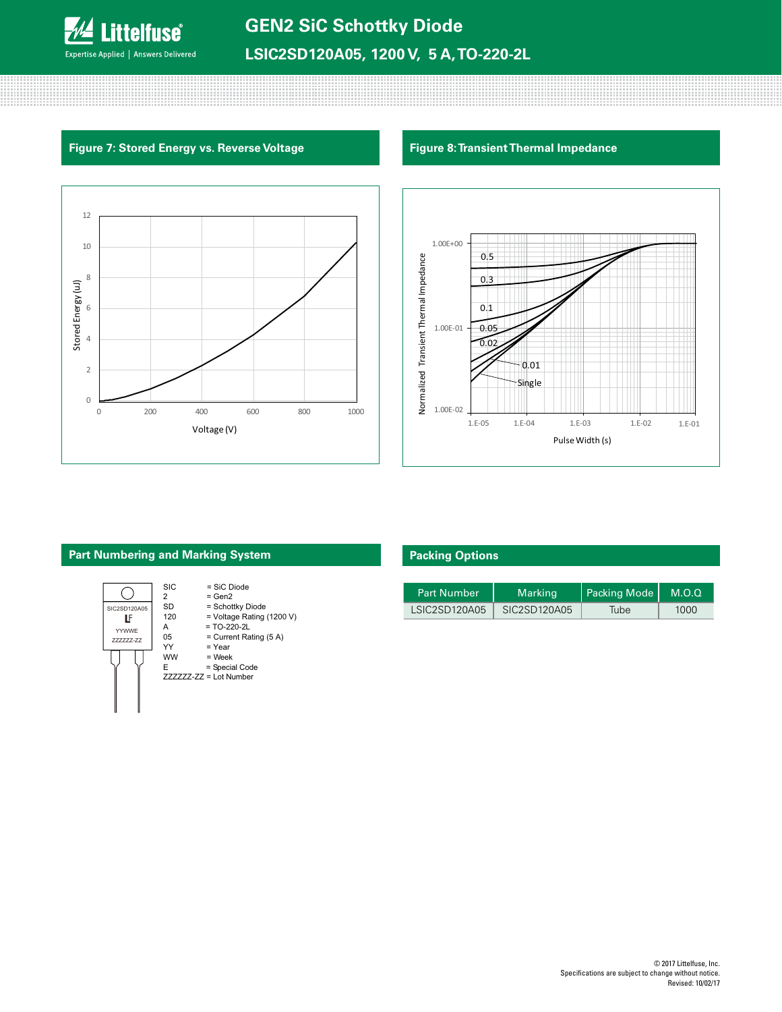

# **Figure 7: Stored Energy vs. Reverse Voltage Figure 8: Transient Thermal Impedance**





# **Part Numbering and Marking System**



# **Packing Options**

| <b>Part Number</b> | <b>Marking</b> | Packing Mode   M.O.Q |      |
|--------------------|----------------|----------------------|------|
| LSIC2SD120A05      | SIC2SD120A05   | Tube                 | 1000 |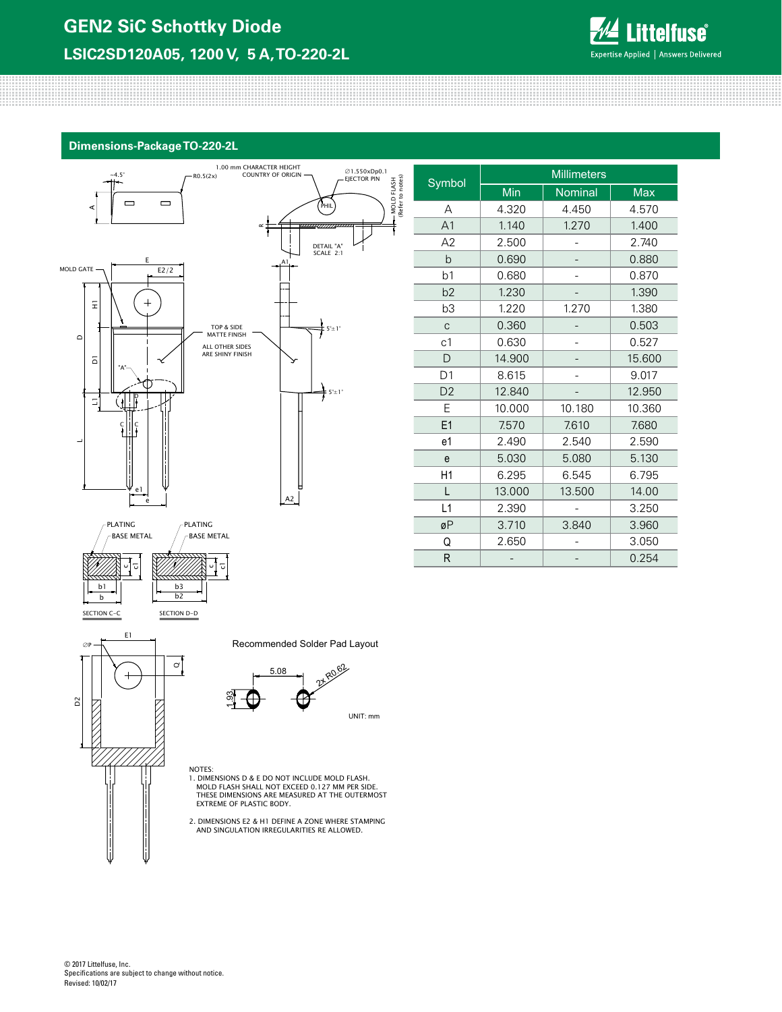

### **Dimensions-Package TO-220-2L**





 $\mathbf{\sigma}$ 

E1

 $+$ 

 $\infty$ P

D2

| Min    | Nominal | <b>Max</b> |  |
|--------|---------|------------|--|
| 4.320  | 4.450   | 4.570      |  |
| 1.140  | 1.270   | 1.400      |  |
| 2.500  |         | 2.740      |  |
| 0.690  |         | 0.880      |  |
| 0.680  |         | 0.870      |  |
| 1.230  |         | 1.390      |  |
| 1.220  | 1.270   | 1.380      |  |
| 0.360  |         | 0.503      |  |
| 0.630  |         | 0.527      |  |
| 14.900 |         | 15.600     |  |
| 8.615  |         | 9.017      |  |
| 12.840 |         | 12.950     |  |
| 10.000 | 10.180  | 10.360     |  |
| 7.570  | 7.610   | 7.680      |  |
| 2.490  | 2.540   | 2.590      |  |
| 5.030  | 5.080   | 5.130      |  |
| 6.295  | 6.545   | 6.795      |  |
| 13.000 | 13.500  | 14.00      |  |
| 2.390  |         | 3.250      |  |
| 3.710  | 3.840   | 3.960      |  |
| 2.650  |         | 3.050      |  |
|        |         | 0.254      |  |
|        |         |            |  |

**Millimeters** 

Recommended Solder Pad Layout

MOLD FLASH (Refer to notes)

 $\widehat{e}$ MOLD FLASH  $\frac{1}{2}$ °.



NOTES: 1. DIMENSIONS D & E DO NOT INCLUDE MOLD FLASH. MOLD FLASH SHALL NOT EXCEED 0.127 MM PER SIDE. THESE DIMENSIONS ARE MEASURED AT THE OUTERMOST EXTREME OF PLASTIC BODY.

2. DIMENSIONS E2 & H1 DEFINE A ZONE WHERE STAMPING AND SINGULATION IRREGULARITIES RE ALLOWED.

© 2017 Littelfuse, Inc. Specifications are subject to change without notice. Revised: 10/02/17